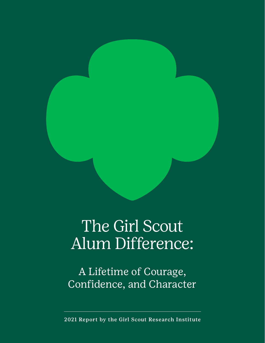

# The Girl Scout Alum Difference:

A Lifetime of Courage, Confidence, and Character

2021 Report by the Girl Scout Research Institute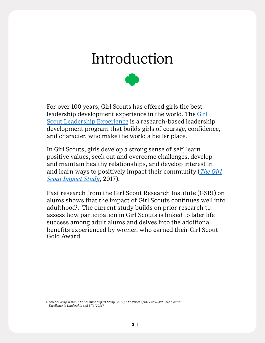## Introduction



For over 100 years, Girl Scouts has offered girls the best leadership development experience in the world. The [Girl](https://www.girlscouts.org/en/our-program/our-program.html)  [Scout Leadership Experience](https://www.girlscouts.org/en/our-program/our-program.html) is a research-based leadership development program that builds girls of courage, confidence, and character, who make the world a better place.

In Girl Scouts, girls develop a strong sense of self, learn positive values, seek out and overcome challenges, develop and maintain healthy relationships, and develop interest in and learn ways to positively impact their community (*The [Girl](https://www.girlscouts.org/content/dam/girlscouts-gsusa/forms-and-documents/about-girl-scouts/research/GSRI_ImpactStudy_ExecutiveSummary_2017.pdf)  [Scout Impact Study](https://www.girlscouts.org/content/dam/girlscouts-gsusa/forms-and-documents/about-girl-scouts/research/GSRI_ImpactStudy_ExecutiveSummary_2017.pdf)*, 2017).

Past research from the Girl Scout Research Institute (GSRI) on alums shows that the impact of Girl Scouts continues well into adulthood<sup>1</sup>. The current study builds on prior research to assess how participation in Girl Scouts is linked to later life success among adult alums and delves into the additional benefits experienced by women who earned their Girl Scout Gold Award.

1. *Girl Scouting Works: The Alumnae Impact Study (2012)*, *The Power of the Girl Scout Gold Award: Excellence in Leadership and Life (2016)*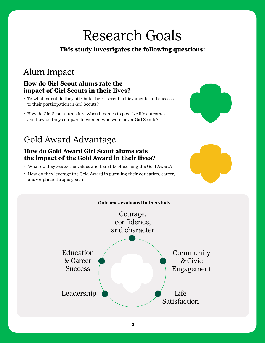# Research Goals

## **This study investigates the following questions:**

## Alum Impact

## **How do Girl Scout alums rate the impact of Girl Scouts in their lives?**

- To what extent do they attribute their current achievements and success to their participation in Girl Scouts?
- How do Girl Scout alums fare when it comes to positive life outcomes and how do they compare to women who were never Girl Scouts?

## Gold Award Advantage

## **How do Gold Award Girl Scout alums rate the impact of the Gold Award in their lives?**

- What do they see as the values and benefits of earning the Gold Award?
- How do they leverage the Gold Award in pursuing their education, career, and/or philanthropic goals?







| **3 |**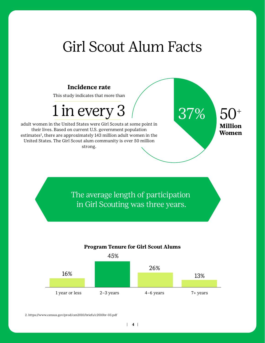## Girl Scout Alum Facts

50+

**Million Women**

#### **Incidence rate**

This study indicates that more than

# $1$  in every 3  $\hspace{1.5cm}$  37%

adult women in the United States were Girl Scouts at some point in their lives. Based on current U.S. government population estimates<sup>2</sup>, there are approximately 143 million adult women in the United States. The Girl Scout alum community is over 50 million strong.

> The average length of participation in Girl Scouting was three years.



#### **Program Tenure for Girl Scout Alums**

2. https://www.census.gov/prod/cen2010/briefs/c2010br-03.pdf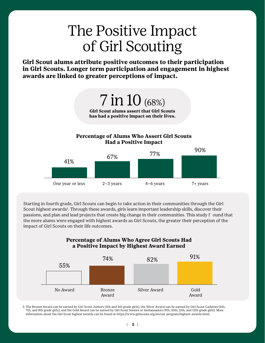# The Positive Impact of Girl Scouting

**Girl Scout alums attribute positive outcomes to their participation in Girl Scouts. Longer term participation and engagement in highest awards are linked to greater perceptions of impact.**

> 7 in 10 (68%) **Girl Scout alums assert that Girl Scouts**

> **has had a positive impact on their lives.**

#### **Percentage of Alums Who Assert Girl Scouts Had a Positive Impact**



Starting in fourth grade, Girl Scouts can begin to take action in their communities through the Girl Scout highest awards<sup>3</sup>. Through these awards, girls learn important leadership skills, discover their passions, and plan and lead projects that create big change in their communities. This study f ound that the more alums were engaged with highest awards as Girl Scouts, the greater their perception of the impact of Girl Scouts on their life outcomes.

**Percentage of Alums Who Agree Girl Scouts Had** 



3. The Bronze Award can be earned by Girl Scout Juniors (4th and 5th grade girls), the Silver Award can be earned by Girl Scout Cadettes (6th, 7th, and 8th grade girls), and the Gold Award can be earned by Girl Scout Seniors or Ambassadors (9th, 10th, 11th, and 12th grade girls). More information about the Girl Scout highest awards can be found at https://www.girlscouts.org/en/our-program/highest-awards.html.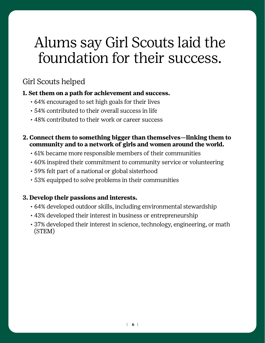# Alums say Girl Scouts laid the foundation for their success.

## Girl Scouts helped

## **1. Set them on a path for achievement and success.**

- 64% encouraged to set high goals for their lives
- 54% contributed to their overall success in life
- 48% contributed to their work or career success

## **2. Connect them to something bigger than themselves—linking them to community and to a network of girls and women around the world.**

- 61% became more responsible members of their communities
- 60% inspired their commitment to community service or volunteering
- 59% felt part of a national or global sisterhood
- 53% equipped to solve problems in their communities

## **3. Develop their passions and interests.**

- 64% developed outdoor skills, including environmental stewardship
- 43% developed their interest in business or entrepreneurship
- 37% developed their interest in science, technology, engineering, or math (STEM)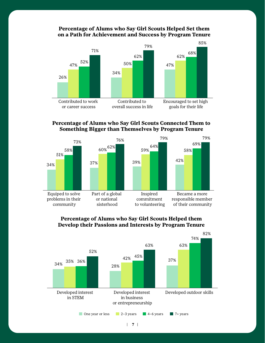#### **Percentage of Alums who Say Girl Scouts Helped Set them on a Path for Achievement and Success by Program Tenure**



#### **Percentage of Alums who Say Girl Scouts Connected Them to Something Bigger than Themselves by Program Tenure**



#### **Percentage of Alums who Say Girl Scouts Helped them Develop their Passions and Interests by Program Tenure**

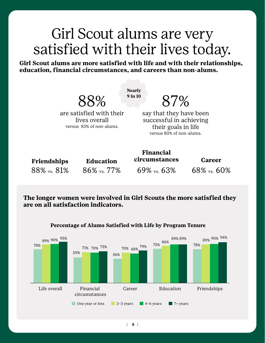## Girl Scout alums are very satisfied with their lives today.

**Girl Scout alums are more satisfied with life and with their relationships, education, financial circumstances, and careers than non-alums.** 

88%

**Nearly 9 in 10**

87%

are satisfied with their lives overall versus 83% of non-alums.

say that they have been successful in achieving their goals in life versus 80% of non-alums.

| <b>Friendships</b> |  |
|--------------------|--|
| 88% vs. 81%        |  |

**Education** 86% vs. 77%

69% vs. 63%

**Financial circumstances**

**Career** 68% vs. 60%

**The longer women were involved in Girl Scouts the more satisfied they are on all satisfaction indicators.** 



#### **Percentage of Alums Satisfied with Life by Program Tenure**

| **8 |**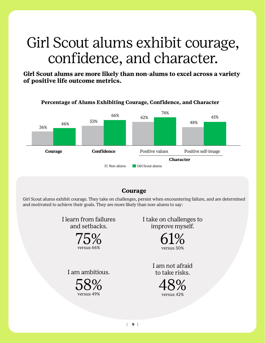# Girl Scout alums exhibit courage, confidence, and character.

**Girl Scout alums are more likely than non-alums to excel across a variety of positive life outcome metrics.**



#### **Courage**

Girl Scout alums exhibit courage. They take on challenges, persist when encountering failure, and are determined and motivated to achieve their goals. They are more likely than non-alums to say:

> I learn from failures and setbacks.



I am ambitious.

58% versus 49%

I take on challenges to improve myself.



I am not afraid to take risks.



| **9 |**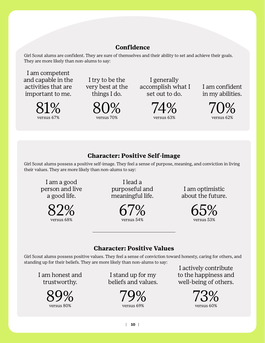## **Confidence**

Girl Scout alums are confident. They are sure of themselves and their ability to set and achieve their goals. They are more likely than non-alums to say:

I am competent and capable in the activities that are important to me.



I try to be the very best at the things I do.

> 80% versus 70%

I generally accomplish what I set out to do.



I am confident in my abilities.



## **Character: Positive Self-image**

Girl Scout alums possess a positive self-image. They feel a sense of purpose, meaning, and conviction in living their values. They are more likely than non-alums to say:

I am a good person and live a good life.

> 82% versus 68%

I lead a purposeful and meaningful life.

> 67% versus 54%

I am optimistic about the future.

> 65% versus 53%

## **Character: Positive Values**

Girl Scout alums possess positive values. They feel a sense of conviction toward honesty, caring for others, and standing up for their beliefs. They are more likely than non-alums to say:

I am honest and trustworthy.



I stand up for my beliefs and values.



I actively contribute to the happiness and well-being of others.

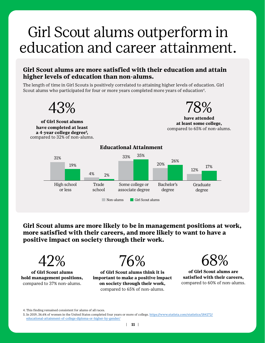# Girl Scout alums outperform in education and career attainment.

#### **Girl Scout alums are more satisfied with their education and attain higher levels of education than non-alums.**

The length of time in Girl Scouts is positively correlated to attaining higher levels of education. Girl Scout alums who participated for four or more years completed more years of education<sup>4</sup>.



**Girl Scout alums are more likely to be in management positions at work, more satisfied with their careers, and more likely to want to have a positive impact on society through their work.** 



**of Girl Scout alums hold management positions,**  compared to 37% non-alums.



**of Girl Scout alums think it is important to make a positive impact on society through their work,**  compared to 65% of non-alums.



**of Girl Scout alums are satisfied with their careers,**  compared to 60% of non-alums.

4. This finding remained consistent for alums of all races.

<sup>5.</sup> [In 2019, 36.6% of women in the United States completed four years or more of college. https://www.statista.com/statistics/184272/](https://www.statista.com/statistics/184272/educational-attainment-of-college-diploma-or-higher-by-gender/) educational[-attainment-of-college-diploma-or-higher-by-gender/](https://www.statista.com/statistics/184272/educational-attainment-of-college-diploma-or-higher-by-gender/)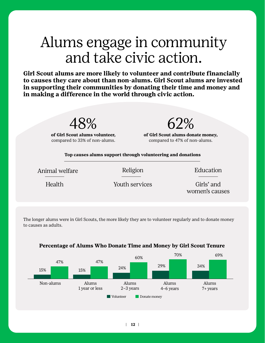# Alums engage in community and take civic action.

**Girl Scout alums are more likely to volunteer and contribute financially to causes they care about than non-alums. Girl Scout alums are invested in supporting their communities by donating their time and money and in making a difference in the world through civic action.**



**of Girl Scout alums volunteer,**  compared to 33% of non-alums.

**of Girl Scout alums donate money,**  compared to 47% of non-alums.

62%

**Top causes alums support through volunteering and donations**

Animal welfare **Religion** Religion **Education** 

Health Youth services

Girls' and women's causes

The longer alums were in Girl Scouts, the more likely they are to volunteer regularly and to donate money to causes as adults.



#### **Percentage of Alums Who Donate Time and Money by Girl Scout Tenure**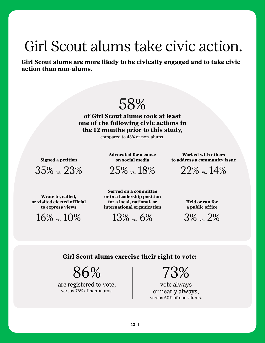# Girl Scout alums take civic action.

**Girl Scout alums are more likely to be civically engaged and to take civic action than non-alums.** 

## 58%

**of Girl Scout alums took at least one of the following civic actions in the 12 months prior to this study,** 

compared to 43% of non-alums.

**Signed a petition** 

35% vs. 23%

**Advocated for a cause on social media** 

25% vs. 18%

**Worked with others to address a community issue** 

22% vs. 14%

**Wrote to, called, or visited elected official to express views** 

16% vs. 10%

**Served on a committee or in a leadership position for a local, national, or international organization** 

 $13\%$  vs. 6%

**Held or ran for a public office**

3% vs. 2%

#### **Girl Scout alums exercise their right to vote:**

86%

are registered to vote, versus 76% of non-alums.

73%

vote always or nearly always, versus 60% of non-alums.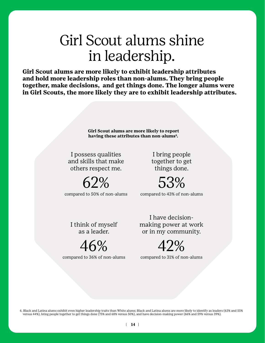# Girl Scout alums shine in leadership.

**Girl Scout alums are more likely to exhibit leadership attributes and hold more leadership roles than non-alums. They bring people together, make decisions, and get things done. The longer alums were in Girl Scouts, the more likely they are to exhibit leadership attributes.** 

> **Girl Scout alums are more likely to report having these attributes than non-alums<sup>6</sup> .**

I possess qualities and skills that make others respect me.

 $62%$ compared to 50% of non-alums

I bring people together to get things done.

53% compared to 43% of non-alums

I think of myself as a leader.

46% compared to 36% of non-alums

I have decisionmaking power at work or in my community.

42% compared to 31% of non-alums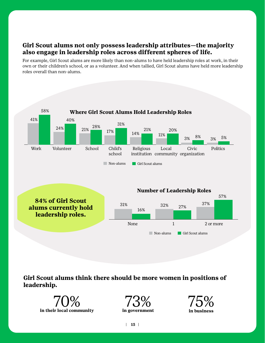## **Girl Scout alums not only possess leadership attributes—the majority also engage in leadership roles across different spheres of life.**

For example, Girl Scout alums are more likely than non-alums to have held leadership roles at work, in their own or their children's school, or as a volunteer. And when tallied, Girl Scout alums have held more leadership roles overall than non-alums.



**Girl Scout alums think there should be more women in positions of leadership.** 





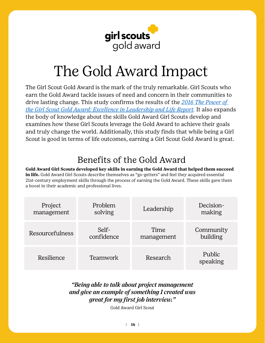

# The Gold Award Impact

The Girl Scout Gold Award is the mark of the truly remarkable. Girl Scouts who earn the Gold Award tackle issues of need and concern in their communities to drive lasting change. This study confirms the results of the *2016 [The Power of](https://www.girlscouts.org/content/dam/girlscouts-gsusa/forms-and-documents/about-girl-scouts/research/GSRI_PowerGSGoldAward.pdf)  [the Girl Scout Gold Award: Excellence in Leadership and Life Report](https://www.girlscouts.org/content/dam/girlscouts-gsusa/forms-and-documents/about-girl-scouts/research/GSRI_PowerGSGoldAward.pdf).* It also expands the body of knowledge about the skills Gold Award Girl Scouts develop and examines how these Girl Scouts leverage the Gold Award to achieve their goals and truly change the world. Additionally, this study finds that while being a Girl Scout is good in terms of life outcomes, earning a Girl Scout Gold Award is great.

## Benefits of the Gold Award

**Gold Award Girl Scouts developed key skills in earning the Gold Award that helped them succeed in life.** Gold Award Girl Scouts describe themselves as "go-getters" and feel they acquired essential 21st-century employment skills through the process of earning the Gold Award. These skills gave them a boost in their academic and professional lives.

| Project         | Problem    | Leadership | Decision-          |
|-----------------|------------|------------|--------------------|
| management      | solving    |            | making             |
| Resourcefulness | Self-      | Time       | Community          |
|                 | confidence | management | building           |
| Resilience      | Teamwork   | Research   | Public<br>speaking |

## *"Being able to talk about project management and give an example of something I created was great for my first job interview."*

Gold Award Girl Scout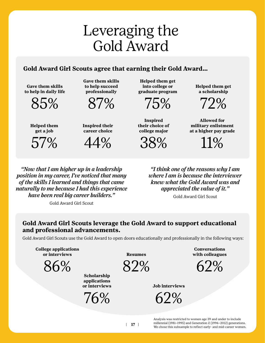# Leveraging the  $\frac{1}{2}$ <br>
Gold Award<br>
us agree that earning their Gold Award...<br>
Cave them skills<br>
the chose the scales through the subseque of the college or and a scholarship<br>
professionally<br>
mid-career choice<br>
career c Gold Award

#### **Gold Award Girl Scouts agree that earning their Gold Award…**

**Gave them skills to help in daily life**



**Gave them skills to help succeed professionally**



**Helped them get a job**

57%

**Inspired their career choice**



**Helped them get into college or graduate program**



**Inspired their choice of college major**

38%

**Helped them get a scholarship**

72%

**Allowed for military enlistment at a higher pay grade**

11%

*"Now that I am higher up in a leadership position in my career, I've noticed that many of the skills I learned and things that came naturally to me because I had this experience have been real big career builders."*

Gold Award Girl Scout

*"I think one of the reasons why I am where I am is because the interviewer knew what the Gold Award was and appreciated the value of it."*

Gold Award Girl Scout

#### **Gold Award Girl Scouts leverage the Gold Award to support educational and professional advancements.**

Gold Award Girl Scouts use the Gold Award to open doors educationally and professionally in the following ways:

**College applications or interviews**

86%

**Scholarship applications or interviews**

 $^{\prime}$ 6%

**Resumes**

82%

**Conversations with colleagues**

 $52\%$ 

**Job interviews**

62%

Analysis was restricted to women age 39 and under to include millennial (1981–1995) and Generation Z (1996–2012) generations.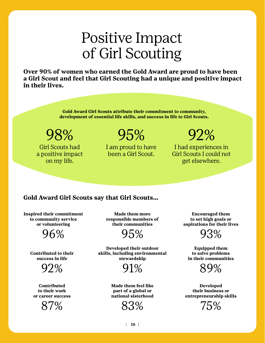# Positive Impact of Girl Scouting

**Over 90% of women who earned the Gold Award are proud to have been a Girl Scout and feel that Girl Scouting had a unique and positive impact in their lives.** 

> **Gold Award Girl Scouts attribute their commitment to community, development of essential life skills, and success in life to Girl Scouts.**

98%

Girl Scouts had a positive impact on my life.

## 95%

I am proud to have been a Girl Scout.

92%

I had experiences in Girl Scouts I could not get elsewhere.

## **Gold Award Girl Scouts say that Girl Scouts…**

**Inspired their commitment to community service or volunteering**

96%

**Contributed to their success in life**

92%

**Contributed to their work or career success** 



**Made them more responsible members of their communities**

95%

**Developed their outdoor skills, including environmental stewardship**



**Made them feel like part of a global or national sisterhood**



**Encouraged them to set high goals or aspirations for their lives**

93%

**Equipped them to solve problems in their communities**



**Developed their business or entrepreneurship skills** 

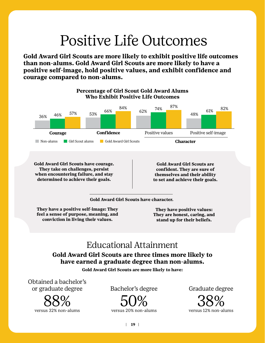# Positive Life Outcomes

**Gold Award Girl Scouts are more likely to exhibit positive life outcomes than non-alums. Gold Award Girl Scouts are more likely to have a positive self-image, hold positive values, and exhibit confidence and courage compared to non-alums.** 



**when encountering failure, and stay determined to achieve their goals.** 

**themselves and their ability to set and achieve their goals.** 

**Gold Award Girl Scouts have character.**

**They have a positive self-image: They feel a sense of purpose, meaning, and conviction in living their values.** 

**They have positive values: They are honest, caring, and stand up for their beliefs.** 

## Educational Attainment

#### **Gold Award Girl Scouts are three times more likely to have earned a graduate degree than non-alums.**

**Gold Award Girl Scouts are more likely to have:**

Obtained a bachelor's or graduate degree



Bachelor's degree



Graduate degree

38% versus 12% non-alums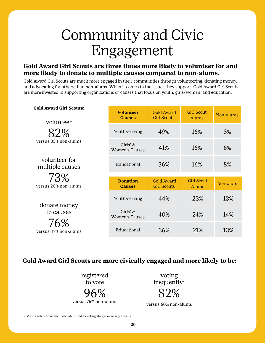# Community and Civic Engagement

#### **Gold Award Girl Scouts are three times more likely to volunteer for and more likely to donate to multiple causes compared to non-alums.**

Gold Award Girl Scouts are much more engaged in their communities through volunteering, donating money, and advocating for others than non-alums. When it comes to the issues they support, Gold Award Girl Scouts are more invested in supporting organizations or causes that focus on youth, girls/women, and education.

| <b>Gold Award Girl Scouts:</b><br>volunteer              | <b>Volunteer</b><br><b>Causes</b>    | <b>Gold Award</b><br><b>Girl Scouts</b> | <b>Girl Scout</b><br><b>Alums</b> | Non-alums |
|----------------------------------------------------------|--------------------------------------|-----------------------------------------|-----------------------------------|-----------|
| 82%<br>versus 33% non-alums                              | Youth-serving                        | 49%                                     | 16%                               | 8%        |
|                                                          | Girls' $\&$<br><b>Women's Causes</b> | 41%                                     | 16%                               | 6%        |
| volunteer for<br>multiple causes                         | Educational                          | 36%                                     | 16%                               | 8%        |
| 73%                                                      |                                      |                                         |                                   |           |
| versus 20% non-alums                                     | <b>Donation</b><br><b>Causes</b>     | <b>Gold Award</b><br><b>Girl Scouts</b> | <b>Girl Scout</b><br><b>Alums</b> | Non-alums |
| donate money<br>to causes<br>76%<br>versus 47% non-alums | Youth-serving                        | 44%                                     | 23%                               | 13%       |
|                                                          | Girls' $\&$<br><b>Women's Causes</b> | 40%                                     | 24%                               | 14%       |
|                                                          | Educational                          | 36%                                     | 21%                               | 13%       |

## **Gold Award Girl Scouts are more civically engaged and more likely to be:**

registered to vote 96% versus 76% non-alums

voting frequently 7 82%

versus 60% non-alums

7. Voting refers to women who identified as voting always or nearly always.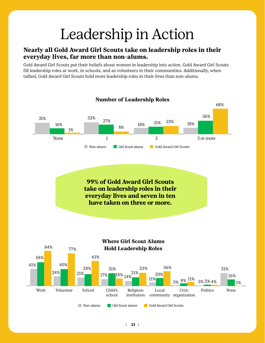# Leadership in Action

#### **Nearly all Gold Award Girl Scouts take on leadership roles in their everyday lives, far more than non-alums.**

Gold Award Girl Scouts put their beliefs about women in leadership into action. Gold Award Girl Scouts fill leadership roles at work, in schools, and as volunteers in their communities. Additionally, when tallied, Gold Award Girl Scouts hold more leadership roles in their lives than non-alums.

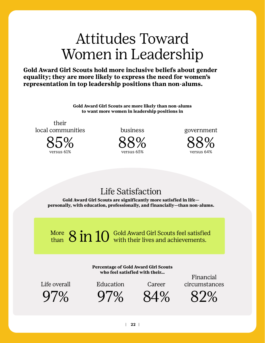# Attitudes Toward Women in Leadership

**Gold Award Girl Scouts hold more inclusive beliefs about gender equality; they are more likely to express the need for women's representation in top leadership positions than non-alums.** 

> **Gold Award Girl Scouts are more likely than non-alums to want more women in leadership positions in**

their local communities



business

88% versus 65%

government

88% versus 64%

## Life Satisfaction

**Gold Award Girl Scouts are significantly more satisfied in life personally, with education, professionally, and financially—than non-alums.**

8 in 10 Gold Award Girl Scouts feel satisfied<br>with their lives and achievements. More than

> **Percentage of Gold Award Girl Scouts who feel satisfied with their…**

Life overall  $97\%$ 

Education

97%

Career

84%

Financial circumstances

82%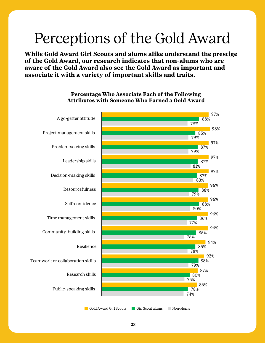# Perceptions of the Gold Award

**While Gold Award Girl Scouts and alums alike understand the prestige of the Gold Award, our research indicates that non-alums who are aware of the Gold Award also see the Gold Award as important and associate it with a variety of important skills and traits.**



#### **Percentage Who Associate Each of the Following Attributes with Someone Who Earned a Gold Award**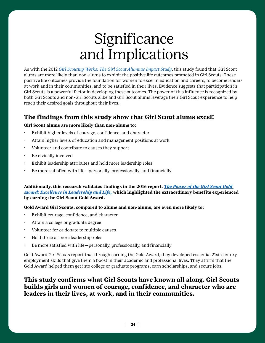# **Significance** and Implications

As with the 2012 *[Girl Scouting Works: The Girl Scout Alumnae Impact Study](https://www.girlscouts.org/content/dam/girlscouts-gsusa/forms-and-documents/about-girl-scouts/research/girl_scouting_works_the_alumnae_impact_study.pdf)*, this study found that Girl Scout alums are more likely than non-alums to exhibit the positive life outcomes promoted in Girl Scouts. These positive life outcomes provide the foundation for women to excel in education and careers, to become leaders at work and in their communities, and to be satisfied in their lives. Evidence suggests that participation in Girl Scouts is a powerful factor in developing these outcomes. The power of this influence is recognized by both Girl Scouts and non-Girl Scouts alike and Girl Scout alums leverage their Girl Scout experience to help reach their desired goals throughout their lives.

#### **The findings from this study show that Girl Scout alums excel!**

#### **Girl Scout alums are more likely than non-alums to:**

- Exhibit higher levels of courage, confidence, and character
- Attain higher levels of education and management positions at work
- Volunteer and contribute to causes they support
- Be civically involved
- Exhibit leadership attributes and hold more leadership roles
- Be more satisfied with life—personally, professionally, and financially

#### **Additionally, this research validates findings in the 2016 report,** *[The Power of the Girl Scout Gold](https://www.girlscouts.org/content/dam/girlscouts-gsusa/forms-and-documents/about-girl-scouts/research/GSRI_PowerGSGoldAward.pdf)  [Award: Excellence in Leadership and Life,](https://www.girlscouts.org/content/dam/girlscouts-gsusa/forms-and-documents/about-girl-scouts/research/GSRI_PowerGSGoldAward.pdf)* **which highlighted the extraordinary benefits experienced by earning the Girl Scout Gold Award.**

#### **Gold Award Girl Scouts, compared to alums and non-alums, are even more likely to:**

- Exhibit courage, confidence, and character
- Attain a college or graduate degree
- Volunteer for or donate to multiple causes
- Hold three or more leadership roles
- Be more satisfied with life—personally, professionally, and financially

Gold Award Girl Scouts report that through earning the Gold Award, they developed essential 21st-century employment skills that give them a boost in their academic and professional lives. They affirm that the Gold Award helped them get into college or graduate programs, earn scholarships, and secure jobs.

#### **This study confirms what Girl Scouts have known all along. Girl Scouts builds girls and women of courage, confidence, and character who are leaders in their lives, at work, and in their communities.**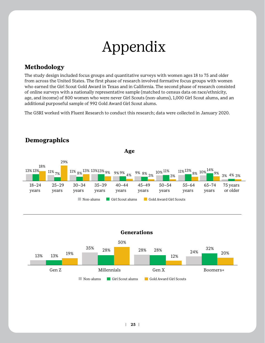# Appendix

## **Methodology**

The study design included focus groups and quantitative surveys with women ages 18 to 75 and older from across the United States. The first phase of research involved formative focus groups with women who earned the Girl Scout Gold Award in Texas and in California. The second phase of research consisted of online surveys with a nationally representative sample (matched to census data on race/ethnicity, age, and income) of 800 women who were never Girl Scouts (non-alums), 1,000 Girl Scout alums, and an additional purposeful sample of 992 Gold Award Girl Scout alums.

The GSRI worked with Fluent Research to conduct this research; data were collected in January 2020.



## **Demographics**



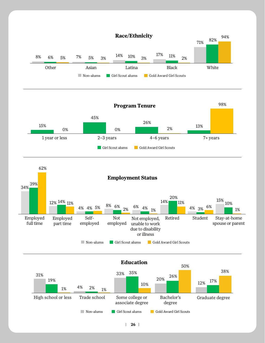